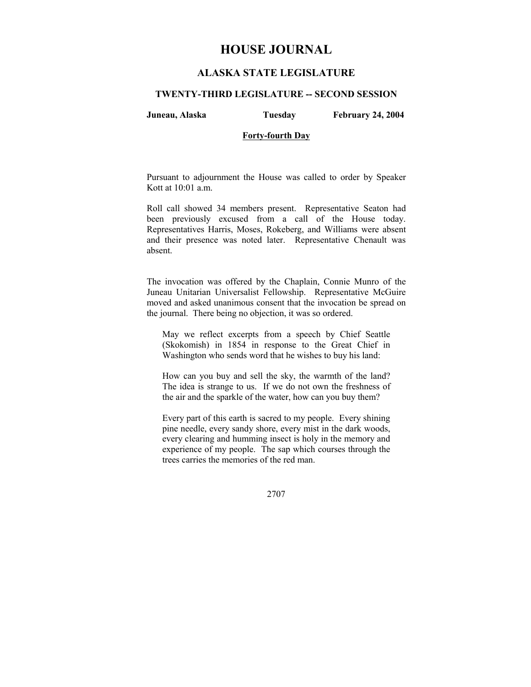# **HOUSE JOURNAL**

## **ALASKA STATE LEGISLATURE**

#### **TWENTY-THIRD LEGISLATURE -- SECOND SESSION**

**Juneau, Alaska Tuesday February 24, 2004** 

## **Forty-fourth Day**

Pursuant to adjournment the House was called to order by Speaker Kott at 10:01 a.m.

Roll call showed 34 members present. Representative Seaton had been previously excused from a call of the House today. Representatives Harris, Moses, Rokeberg, and Williams were absent and their presence was noted later. Representative Chenault was absent.

The invocation was offered by the Chaplain, Connie Munro of the Juneau Unitarian Universalist Fellowship. Representative McGuire moved and asked unanimous consent that the invocation be spread on the journal. There being no objection, it was so ordered.

May we reflect excerpts from a speech by Chief Seattle (Skokomish) in 1854 in response to the Great Chief in Washington who sends word that he wishes to buy his land:

How can you buy and sell the sky, the warmth of the land? The idea is strange to us. If we do not own the freshness of the air and the sparkle of the water, how can you buy them?

Every part of this earth is sacred to my people. Every shining pine needle, every sandy shore, every mist in the dark woods, every clearing and humming insect is holy in the memory and experience of my people. The sap which courses through the trees carries the memories of the red man.

2707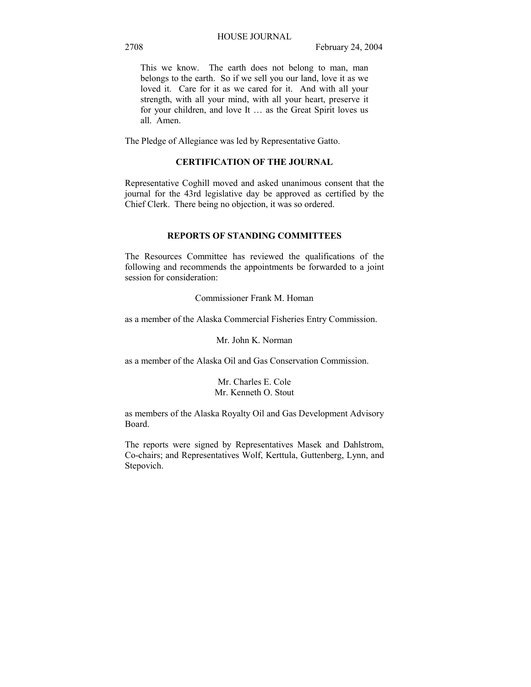This we know. The earth does not belong to man, man belongs to the earth. So if we sell you our land, love it as we loved it. Care for it as we cared for it. And with all your strength, with all your mind, with all your heart, preserve it for your children, and love It ... as the Great Spirit loves us all. Amen.

The Pledge of Allegiance was led by Representative Gatto.

## **CERTIFICATION OF THE JOURNAL**

Representative Coghill moved and asked unanimous consent that the journal for the 43rd legislative day be approved as certified by the Chief Clerk. There being no objection, it was so ordered.

## **REPORTS OF STANDING COMMITTEES**

The Resources Committee has reviewed the qualifications of the following and recommends the appointments be forwarded to a joint session for consideration:

Commissioner Frank M. Homan

as a member of the Alaska Commercial Fisheries Entry Commission.

Mr. John K. Norman

as a member of the Alaska Oil and Gas Conservation Commission.

Mr. Charles E. Cole Mr. Kenneth O. Stout

as members of the Alaska Royalty Oil and Gas Development Advisory Board.

The reports were signed by Representatives Masek and Dahlstrom, Co-chairs; and Representatives Wolf, Kerttula, Guttenberg, Lynn, and Stepovich.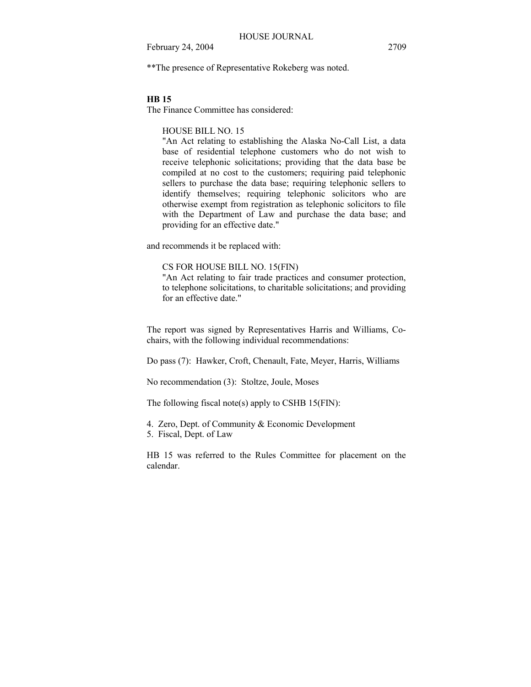\*\*The presence of Representative Rokeberg was noted.

#### **HB 15**

The Finance Committee has considered:

#### HOUSE BILL NO. 15

"An Act relating to establishing the Alaska No-Call List, a data base of residential telephone customers who do not wish to receive telephonic solicitations; providing that the data base be compiled at no cost to the customers; requiring paid telephonic sellers to purchase the data base; requiring telephonic sellers to identify themselves; requiring telephonic solicitors who are otherwise exempt from registration as telephonic solicitors to file with the Department of Law and purchase the data base; and providing for an effective date."

and recommends it be replaced with:

## CS FOR HOUSE BILL NO. 15(FIN)

"An Act relating to fair trade practices and consumer protection, to telephone solicitations, to charitable solicitations; and providing for an effective date."

The report was signed by Representatives Harris and Williams, Cochairs, with the following individual recommendations:

Do pass (7): Hawker, Croft, Chenault, Fate, Meyer, Harris, Williams

No recommendation (3): Stoltze, Joule, Moses

The following fiscal note(s) apply to CSHB 15( $FIN$ ):

4. Zero, Dept. of Community & Economic Development 5. Fiscal, Dept. of Law

HB 15 was referred to the Rules Committee for placement on the calendar.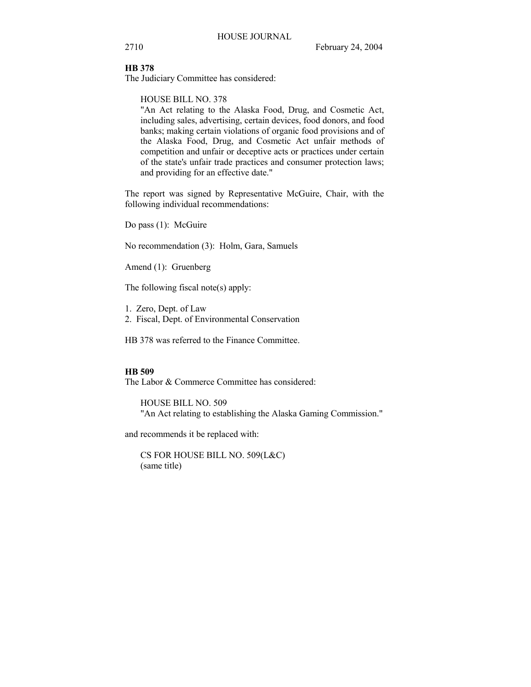#### **HB 378**

The Judiciary Committee has considered:

HOUSE BILL NO. 378

"An Act relating to the Alaska Food, Drug, and Cosmetic Act, including sales, advertising, certain devices, food donors, and food banks; making certain violations of organic food provisions and of the Alaska Food, Drug, and Cosmetic Act unfair methods of competition and unfair or deceptive acts or practices under certain of the state's unfair trade practices and consumer protection laws; and providing for an effective date."

The report was signed by Representative McGuire, Chair, with the following individual recommendations:

Do pass (1): McGuire

No recommendation (3): Holm, Gara, Samuels

Amend (1): Gruenberg

The following fiscal note(s) apply:

- 1. Zero, Dept. of Law
- 2. Fiscal, Dept. of Environmental Conservation

HB 378 was referred to the Finance Committee.

## **HB 509**

The Labor & Commerce Committee has considered:

HOUSE BILL NO. 509 "An Act relating to establishing the Alaska Gaming Commission."

and recommends it be replaced with:

CS FOR HOUSE BILL NO. 509(L&C) (same title)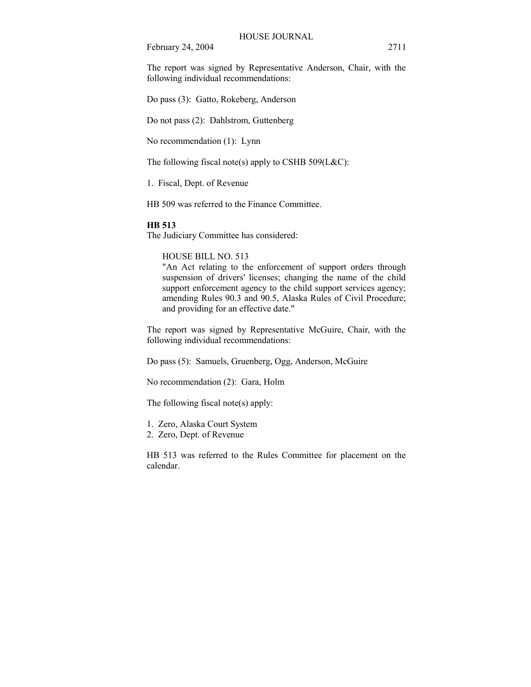The report was signed by Representative Anderson, Chair, with the following individual recommendations:

Do pass (3): Gatto, Rokeberg, Anderson

Do not pass (2): Dahlstrom, Guttenberg

No recommendation (1): Lynn

The following fiscal note(s) apply to CSHB 509( $L&C$ ):

1. Fiscal, Dept. of Revenue

HB 509 was referred to the Finance Committee.

#### **HB 513**

The Judiciary Committee has considered:

HOUSE BILL NO. 513

"An Act relating to the enforcement of support orders through suspension of drivers' licenses; changing the name of the child support enforcement agency to the child support services agency; amending Rules 90.3 and 90.5, Alaska Rules of Civil Procedure; and providing for an effective date."

The report was signed by Representative McGuire, Chair, with the following individual recommendations:

Do pass (5): Samuels, Gruenberg, Ogg, Anderson, McGuire

No recommendation (2): Gara, Holm

The following fiscal note(s) apply:

1. Zero, Alaska Court System

2. Zero, Dept. of Revenue

HB 513 was referred to the Rules Committee for placement on the calendar.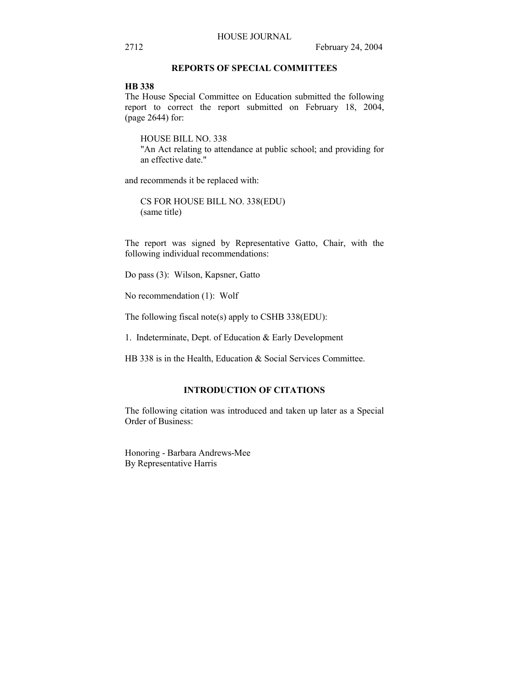## **REPORTS OF SPECIAL COMMITTEES**

## **HB 338**

The House Special Committee on Education submitted the following report to correct the report submitted on February 18, 2004, (page 2644) for:

HOUSE BILL NO. 338 "An Act relating to attendance at public school; and providing for an effective date."

and recommends it be replaced with:

CS FOR HOUSE BILL NO. 338(EDU) (same title)

The report was signed by Representative Gatto, Chair, with the following individual recommendations:

Do pass (3): Wilson, Kapsner, Gatto

No recommendation (1): Wolf

The following fiscal note(s) apply to CSHB 338(EDU):

1. Indeterminate, Dept. of Education & Early Development

HB 338 is in the Health, Education & Social Services Committee.

## **INTRODUCTION OF CITATIONS**

The following citation was introduced and taken up later as a Special Order of Business:

Honoring - Barbara Andrews-Mee By Representative Harris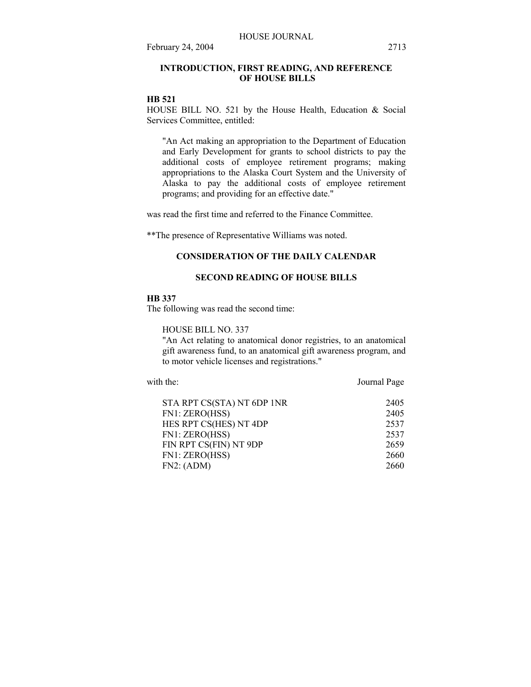## **INTRODUCTION, FIRST READING, AND REFERENCE OF HOUSE BILLS**

#### **HB 521**

HOUSE BILL NO. 521 by the House Health, Education & Social Services Committee, entitled:

"An Act making an appropriation to the Department of Education and Early Development for grants to school districts to pay the additional costs of employee retirement programs; making appropriations to the Alaska Court System and the University of Alaska to pay the additional costs of employee retirement programs; and providing for an effective date."

was read the first time and referred to the Finance Committee.

\*\*The presence of Representative Williams was noted.

### **CONSIDERATION OF THE DAILY CALENDAR**

## **SECOND READING OF HOUSE BILLS**

#### **HB 337**

The following was read the second time:

HOUSE BILL NO. 337

"An Act relating to anatomical donor registries, to an anatomical gift awareness fund, to an anatomical gift awareness program, and to motor vehicle licenses and registrations."

with the: Journal Page

| 2405 |
|------|
| 2405 |
| 2537 |
| 2537 |
| 2659 |
| 2660 |
| 2660 |
|      |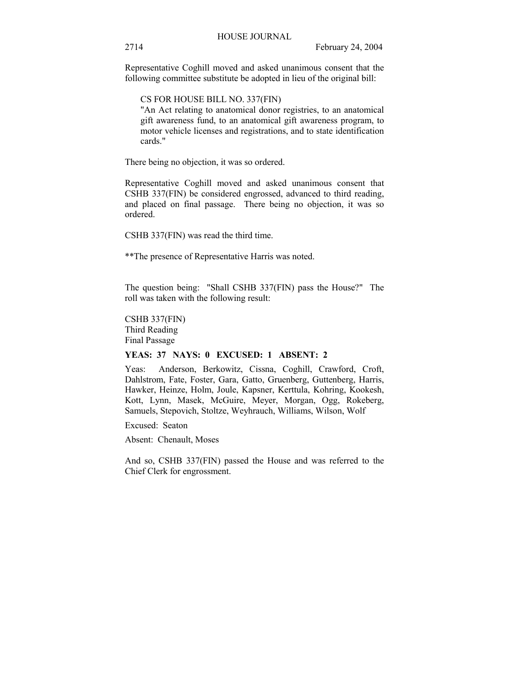Representative Coghill moved and asked unanimous consent that the following committee substitute be adopted in lieu of the original bill:

CS FOR HOUSE BILL NO. 337(FIN)

"An Act relating to anatomical donor registries, to an anatomical gift awareness fund, to an anatomical gift awareness program, to motor vehicle licenses and registrations, and to state identification cards."

There being no objection, it was so ordered.

Representative Coghill moved and asked unanimous consent that CSHB 337(FIN) be considered engrossed, advanced to third reading, and placed on final passage. There being no objection, it was so ordered.

CSHB 337(FIN) was read the third time.

\*\*The presence of Representative Harris was noted.

The question being: "Shall CSHB 337(FIN) pass the House?" The roll was taken with the following result:

CSHB 337(FIN) Third Reading Final Passage

#### **YEAS: 37 NAYS: 0 EXCUSED: 1 ABSENT: 2**

Yeas: Anderson, Berkowitz, Cissna, Coghill, Crawford, Croft, Dahlstrom, Fate, Foster, Gara, Gatto, Gruenberg, Guttenberg, Harris, Hawker, Heinze, Holm, Joule, Kapsner, Kerttula, Kohring, Kookesh, Kott, Lynn, Masek, McGuire, Meyer, Morgan, Ogg, Rokeberg, Samuels, Stepovich, Stoltze, Weyhrauch, Williams, Wilson, Wolf

Excused: Seaton

Absent: Chenault, Moses

And so, CSHB 337(FIN) passed the House and was referred to the Chief Clerk for engrossment.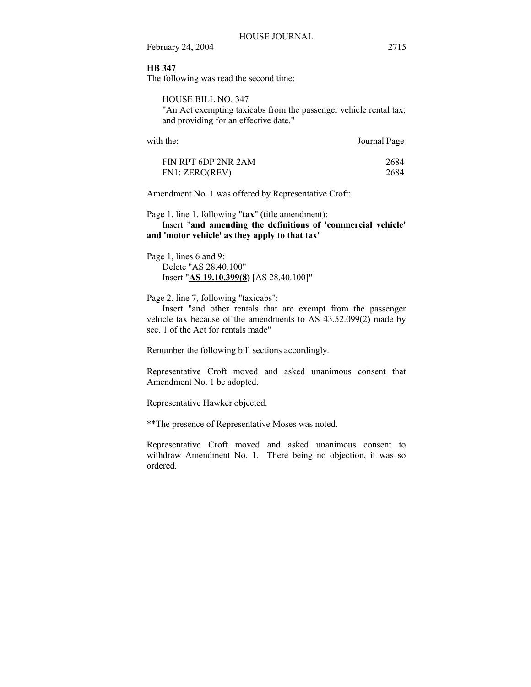## **HB 347**

The following was read the second time:

HOUSE BILL NO. 347 "An Act exempting taxicabs from the passenger vehicle rental tax; and providing for an effective date."

| Journal Page |
|--------------|
|              |

| FIN RPT 6DP 2NR 2AM | 2684 |
|---------------------|------|
| FN1: ZERO(REV)      | 2684 |

Amendment No. 1 was offered by Representative Croft:

Page 1, line 1, following "**tax**" (title amendment):

 Insert "**and amending the definitions of 'commercial vehicle' and 'motor vehicle' as they apply to that tax**"

Page 1, lines 6 and 9: Delete "AS 28.40.100" Insert "**AS 19.10.399(8)** [AS 28.40.100]"

Page 2, line 7, following "taxicabs":

 Insert "and other rentals that are exempt from the passenger vehicle tax because of the amendments to AS 43.52.099(2) made by sec. 1 of the Act for rentals made"

Renumber the following bill sections accordingly.

Representative Croft moved and asked unanimous consent that Amendment No. 1 be adopted.

Representative Hawker objected.

\*\*The presence of Representative Moses was noted.

Representative Croft moved and asked unanimous consent to withdraw Amendment No. 1. There being no objection, it was so ordered.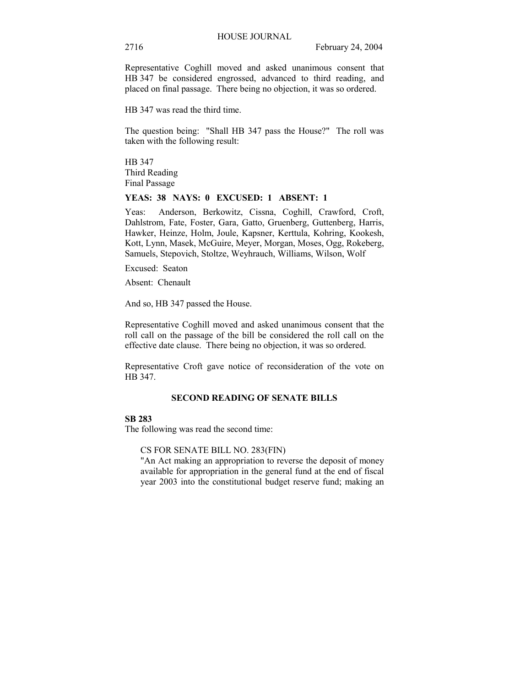Representative Coghill moved and asked unanimous consent that HB 347 be considered engrossed, advanced to third reading, and placed on final passage. There being no objection, it was so ordered.

HB 347 was read the third time.

The question being: "Shall HB 347 pass the House?" The roll was taken with the following result:

HB 347 Third Reading Final Passage

#### **YEAS: 38 NAYS: 0 EXCUSED: 1 ABSENT: 1**

Yeas: Anderson, Berkowitz, Cissna, Coghill, Crawford, Croft, Dahlstrom, Fate, Foster, Gara, Gatto, Gruenberg, Guttenberg, Harris, Hawker, Heinze, Holm, Joule, Kapsner, Kerttula, Kohring, Kookesh, Kott, Lynn, Masek, McGuire, Meyer, Morgan, Moses, Ogg, Rokeberg, Samuels, Stepovich, Stoltze, Weyhrauch, Williams, Wilson, Wolf

Excused: Seaton

Absent: Chenault

And so, HB 347 passed the House.

Representative Coghill moved and asked unanimous consent that the roll call on the passage of the bill be considered the roll call on the effective date clause. There being no objection, it was so ordered.

Representative Croft gave notice of reconsideration of the vote on HB 347.

## **SECOND READING OF SENATE BILLS**

## **SB 283**

The following was read the second time:

CS FOR SENATE BILL NO. 283(FIN)

"An Act making an appropriation to reverse the deposit of money available for appropriation in the general fund at the end of fiscal year 2003 into the constitutional budget reserve fund; making an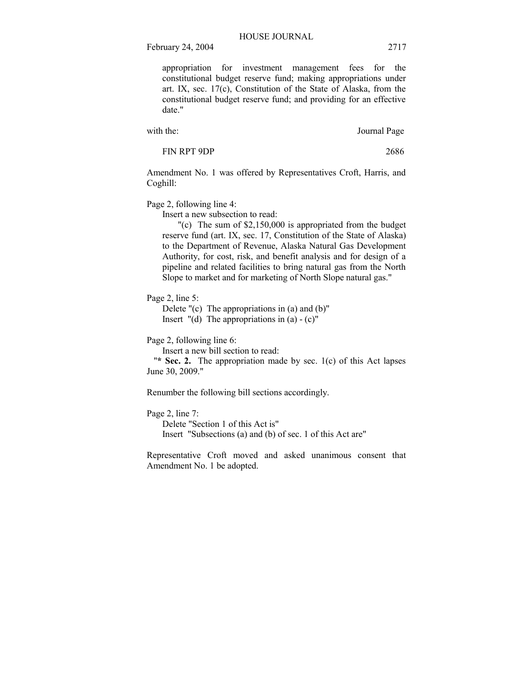appropriation for investment management fees for the constitutional budget reserve fund; making appropriations under art. IX, sec. 17(c), Constitution of the State of Alaska, from the constitutional budget reserve fund; and providing for an effective date."

with the: Journal Page

FIN RPT 9DP 2686

Amendment No. 1 was offered by Representatives Croft, Harris, and Coghill:

Page 2, following line 4:

Insert a new subsection to read:

"(c) The sum of \$2,150,000 is appropriated from the budget reserve fund (art. IX, sec. 17, Constitution of the State of Alaska) to the Department of Revenue, Alaska Natural Gas Development Authority, for cost, risk, and benefit analysis and for design of a pipeline and related facilities to bring natural gas from the North Slope to market and for marketing of North Slope natural gas."

Page 2, line 5:

Delete  $\Gamma(c)$  The appropriations in (a) and (b) $\Gamma$ 

Insert  $"$ (d) The appropriations in (a)  $-$  (c)"

Page 2, following line 6:

Insert a new bill section to read:

"**\* Sec. 2.** The appropriation made by sec. 1(c) of this Act lapses June 30, 2009."

Renumber the following bill sections accordingly.

Page 2, line 7:

Delete "Section 1 of this Act is" Insert "Subsections (a) and (b) of sec. 1 of this Act are"

Representative Croft moved and asked unanimous consent that Amendment No. 1 be adopted.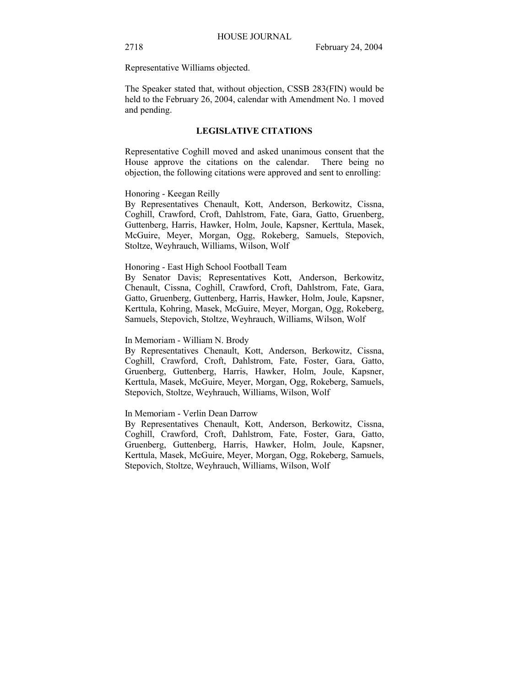Representative Williams objected.

The Speaker stated that, without objection, CSSB 283(FIN) would be held to the February 26, 2004, calendar with Amendment No. 1 moved and pending.

#### **LEGISLATIVE CITATIONS**

Representative Coghill moved and asked unanimous consent that the House approve the citations on the calendar. There being no objection, the following citations were approved and sent to enrolling:

#### Honoring - Keegan Reilly

By Representatives Chenault, Kott, Anderson, Berkowitz, Cissna, Coghill, Crawford, Croft, Dahlstrom, Fate, Gara, Gatto, Gruenberg, Guttenberg, Harris, Hawker, Holm, Joule, Kapsner, Kerttula, Masek, McGuire, Meyer, Morgan, Ogg, Rokeberg, Samuels, Stepovich, Stoltze, Weyhrauch, Williams, Wilson, Wolf

#### Honoring - East High School Football Team

By Senator Davis; Representatives Kott, Anderson, Berkowitz, Chenault, Cissna, Coghill, Crawford, Croft, Dahlstrom, Fate, Gara, Gatto, Gruenberg, Guttenberg, Harris, Hawker, Holm, Joule, Kapsner, Kerttula, Kohring, Masek, McGuire, Meyer, Morgan, Ogg, Rokeberg, Samuels, Stepovich, Stoltze, Weyhrauch, Williams, Wilson, Wolf

#### In Memoriam - William N. Brody

By Representatives Chenault, Kott, Anderson, Berkowitz, Cissna, Coghill, Crawford, Croft, Dahlstrom, Fate, Foster, Gara, Gatto, Gruenberg, Guttenberg, Harris, Hawker, Holm, Joule, Kapsner, Kerttula, Masek, McGuire, Meyer, Morgan, Ogg, Rokeberg, Samuels, Stepovich, Stoltze, Weyhrauch, Williams, Wilson, Wolf

#### In Memoriam - Verlin Dean Darrow

By Representatives Chenault, Kott, Anderson, Berkowitz, Cissna, Coghill, Crawford, Croft, Dahlstrom, Fate, Foster, Gara, Gatto, Gruenberg, Guttenberg, Harris, Hawker, Holm, Joule, Kapsner, Kerttula, Masek, McGuire, Meyer, Morgan, Ogg, Rokeberg, Samuels, Stepovich, Stoltze, Weyhrauch, Williams, Wilson, Wolf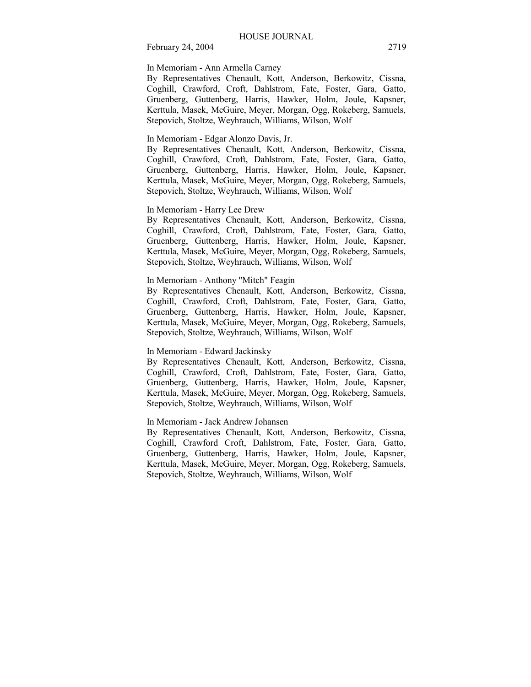## In Memoriam - Ann Armella Carney

By Representatives Chenault, Kott, Anderson, Berkowitz, Cissna, Coghill, Crawford, Croft, Dahlstrom, Fate, Foster, Gara, Gatto, Gruenberg, Guttenberg, Harris, Hawker, Holm, Joule, Kapsner, Kerttula, Masek, McGuire, Meyer, Morgan, Ogg, Rokeberg, Samuels, Stepovich, Stoltze, Weyhrauch, Williams, Wilson, Wolf

## In Memoriam - Edgar Alonzo Davis, Jr.

By Representatives Chenault, Kott, Anderson, Berkowitz, Cissna, Coghill, Crawford, Croft, Dahlstrom, Fate, Foster, Gara, Gatto, Gruenberg, Guttenberg, Harris, Hawker, Holm, Joule, Kapsner, Kerttula, Masek, McGuire, Meyer, Morgan, Ogg, Rokeberg, Samuels, Stepovich, Stoltze, Weyhrauch, Williams, Wilson, Wolf

## In Memoriam - Harry Lee Drew

By Representatives Chenault, Kott, Anderson, Berkowitz, Cissna, Coghill, Crawford, Croft, Dahlstrom, Fate, Foster, Gara, Gatto, Gruenberg, Guttenberg, Harris, Hawker, Holm, Joule, Kapsner, Kerttula, Masek, McGuire, Meyer, Morgan, Ogg, Rokeberg, Samuels, Stepovich, Stoltze, Weyhrauch, Williams, Wilson, Wolf

#### In Memoriam - Anthony "Mitch" Feagin

By Representatives Chenault, Kott, Anderson, Berkowitz, Cissna, Coghill, Crawford, Croft, Dahlstrom, Fate, Foster, Gara, Gatto, Gruenberg, Guttenberg, Harris, Hawker, Holm, Joule, Kapsner, Kerttula, Masek, McGuire, Meyer, Morgan, Ogg, Rokeberg, Samuels, Stepovich, Stoltze, Weyhrauch, Williams, Wilson, Wolf

#### In Memoriam - Edward Jackinsky

By Representatives Chenault, Kott, Anderson, Berkowitz, Cissna, Coghill, Crawford, Croft, Dahlstrom, Fate, Foster, Gara, Gatto, Gruenberg, Guttenberg, Harris, Hawker, Holm, Joule, Kapsner, Kerttula, Masek, McGuire, Meyer, Morgan, Ogg, Rokeberg, Samuels, Stepovich, Stoltze, Weyhrauch, Williams, Wilson, Wolf

#### In Memoriam - Jack Andrew Johansen

By Representatives Chenault, Kott, Anderson, Berkowitz, Cissna, Coghill, Crawford Croft, Dahlstrom, Fate, Foster, Gara, Gatto, Gruenberg, Guttenberg, Harris, Hawker, Holm, Joule, Kapsner, Kerttula, Masek, McGuire, Meyer, Morgan, Ogg, Rokeberg, Samuels, Stepovich, Stoltze, Weyhrauch, Williams, Wilson, Wolf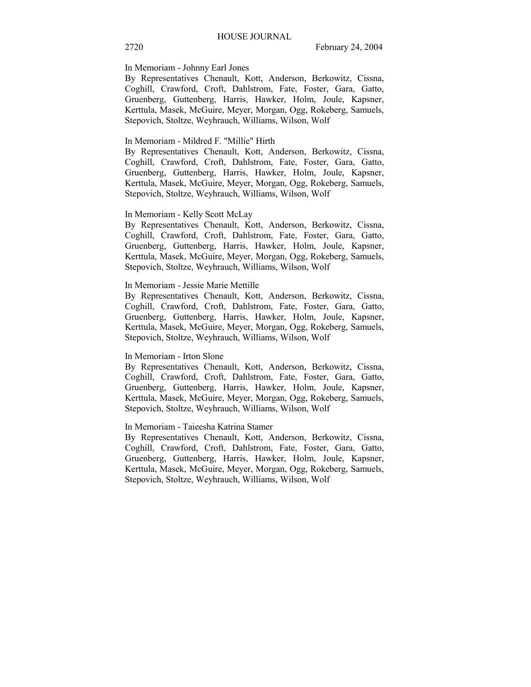## In Memoriam - Johnny Earl Jones

By Representatives Chenault, Kott, Anderson, Berkowitz, Cissna, Coghill, Crawford, Croft, Dahlstrom, Fate, Foster, Gara, Gatto, Gruenberg, Guttenberg, Harris, Hawker, Holm, Joule, Kapsner, Kerttula, Masek, McGuire, Meyer, Morgan, Ogg, Rokeberg, Samuels, Stepovich, Stoltze, Weyhrauch, Williams, Wilson, Wolf

#### In Memoriam - Mildred F. "Millie" Hirth

By Representatives Chenault, Kott, Anderson, Berkowitz, Cissna, Coghill, Crawford, Croft, Dahlstrom, Fate, Foster, Gara, Gatto, Gruenberg, Guttenberg, Harris, Hawker, Holm, Joule, Kapsner, Kerttula, Masek, McGuire, Meyer, Morgan, Ogg, Rokeberg, Samuels, Stepovich, Stoltze, Weyhrauch, Williams, Wilson, Wolf

#### In Memoriam - Kelly Scott McLay

By Representatives Chenault, Kott, Anderson, Berkowitz, Cissna, Coghill, Crawford, Croft, Dahlstrom, Fate, Foster, Gara, Gatto, Gruenberg, Guttenberg, Harris, Hawker, Holm, Joule, Kapsner, Kerttula, Masek, McGuire, Meyer, Morgan, Ogg, Rokeberg, Samuels, Stepovich, Stoltze, Weyhrauch, Williams, Wilson, Wolf

#### In Memoriam - Jessie Marie Mettille

By Representatives Chenault, Kott, Anderson, Berkowitz, Cissna, Coghill, Crawford, Croft, Dahlstrom, Fate, Foster, Gara, Gatto, Gruenberg, Guttenberg, Harris, Hawker, Holm, Joule, Kapsner, Kerttula, Masek, McGuire, Meyer, Morgan, Ogg, Rokeberg, Samuels, Stepovich, Stoltze, Weyhrauch, Williams, Wilson, Wolf

#### In Memoriam - Irton Slone

By Representatives Chenault, Kott, Anderson, Berkowitz, Cissna, Coghill, Crawford, Croft, Dahlstrom, Fate, Foster, Gara, Gatto, Gruenberg, Guttenberg, Harris, Hawker, Holm, Joule, Kapsner, Kerttula, Masek, McGuire, Meyer, Morgan, Ogg, Rokeberg, Samuels, Stepovich, Stoltze, Weyhrauch, Williams, Wilson, Wolf

#### In Memoriam - Taieesha Katrina Stamer

By Representatives Chenault, Kott, Anderson, Berkowitz, Cissna, Coghill, Crawford, Croft, Dahlstrom, Fate, Foster, Gara, Gatto, Gruenberg, Guttenberg, Harris, Hawker, Holm, Joule, Kapsner, Kerttula, Masek, McGuire, Meyer, Morgan, Ogg, Rokeberg, Samuels, Stepovich, Stoltze, Weyhrauch, Williams, Wilson, Wolf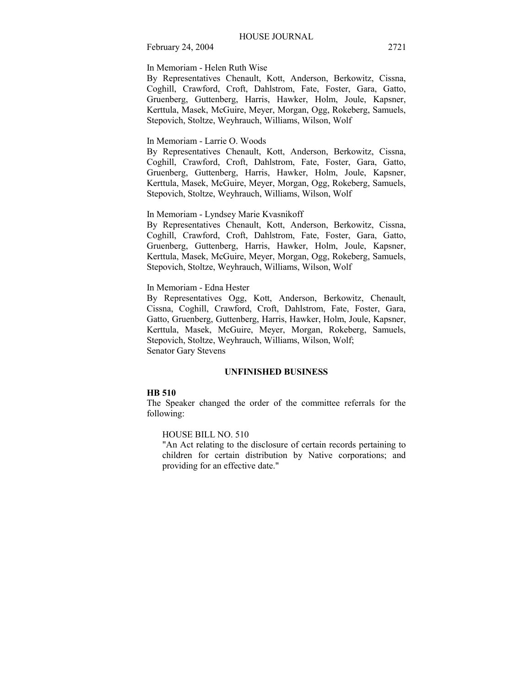In Memoriam - Helen Ruth Wise

By Representatives Chenault, Kott, Anderson, Berkowitz, Cissna, Coghill, Crawford, Croft, Dahlstrom, Fate, Foster, Gara, Gatto, Gruenberg, Guttenberg, Harris, Hawker, Holm, Joule, Kapsner, Kerttula, Masek, McGuire, Meyer, Morgan, Ogg, Rokeberg, Samuels, Stepovich, Stoltze, Weyhrauch, Williams, Wilson, Wolf

#### In Memoriam - Larrie O. Woods

By Representatives Chenault, Kott, Anderson, Berkowitz, Cissna, Coghill, Crawford, Croft, Dahlstrom, Fate, Foster, Gara, Gatto, Gruenberg, Guttenberg, Harris, Hawker, Holm, Joule, Kapsner, Kerttula, Masek, McGuire, Meyer, Morgan, Ogg, Rokeberg, Samuels, Stepovich, Stoltze, Weyhrauch, Williams, Wilson, Wolf

## In Memoriam - Lyndsey Marie Kvasnikoff

By Representatives Chenault, Kott, Anderson, Berkowitz, Cissna, Coghill, Crawford, Croft, Dahlstrom, Fate, Foster, Gara, Gatto, Gruenberg, Guttenberg, Harris, Hawker, Holm, Joule, Kapsner, Kerttula, Masek, McGuire, Meyer, Morgan, Ogg, Rokeberg, Samuels, Stepovich, Stoltze, Weyhrauch, Williams, Wilson, Wolf

#### In Memoriam - Edna Hester

By Representatives Ogg, Kott, Anderson, Berkowitz, Chenault, Cissna, Coghill, Crawford, Croft, Dahlstrom, Fate, Foster, Gara, Gatto, Gruenberg, Guttenberg, Harris, Hawker, Holm, Joule, Kapsner, Kerttula, Masek, McGuire, Meyer, Morgan, Rokeberg, Samuels, Stepovich, Stoltze, Weyhrauch, Williams, Wilson, Wolf; Senator Gary Stevens

## **UNFINISHED BUSINESS**

#### **HB 510**

The Speaker changed the order of the committee referrals for the following:

## HOUSE BILL NO. 510

"An Act relating to the disclosure of certain records pertaining to children for certain distribution by Native corporations; and providing for an effective date."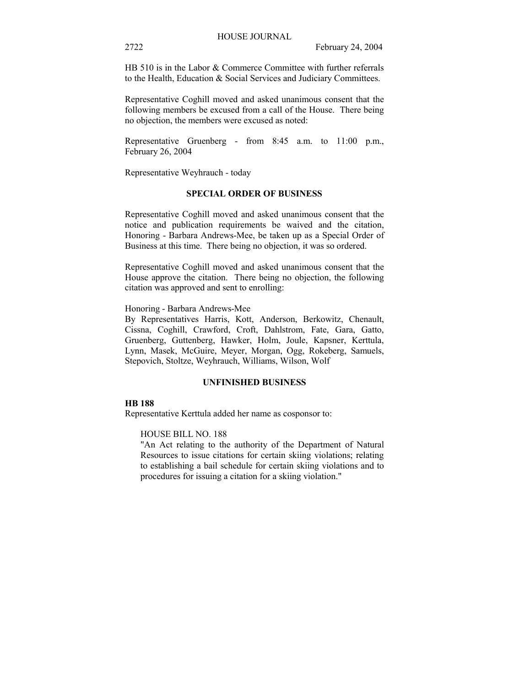HB 510 is in the Labor & Commerce Committee with further referrals to the Health, Education & Social Services and Judiciary Committees.

Representative Coghill moved and asked unanimous consent that the following members be excused from a call of the House. There being no objection, the members were excused as noted:

Representative Gruenberg - from 8:45 a.m. to 11:00 p.m., February 26, 2004

Representative Weyhrauch - today

## **SPECIAL ORDER OF BUSINESS**

Representative Coghill moved and asked unanimous consent that the notice and publication requirements be waived and the citation, Honoring - Barbara Andrews-Mee, be taken up as a Special Order of Business at this time. There being no objection, it was so ordered.

Representative Coghill moved and asked unanimous consent that the House approve the citation. There being no objection, the following citation was approved and sent to enrolling:

Honoring - Barbara Andrews-Mee

By Representatives Harris, Kott, Anderson, Berkowitz, Chenault, Cissna, Coghill, Crawford, Croft, Dahlstrom, Fate, Gara, Gatto, Gruenberg, Guttenberg, Hawker, Holm, Joule, Kapsner, Kerttula, Lynn, Masek, McGuire, Meyer, Morgan, Ogg, Rokeberg, Samuels, Stepovich, Stoltze, Weyhrauch, Williams, Wilson, Wolf

## **UNFINISHED BUSINESS**

#### **HB 188**

Representative Kerttula added her name as cosponsor to:

## HOUSE BILL NO. 188

"An Act relating to the authority of the Department of Natural Resources to issue citations for certain skiing violations; relating to establishing a bail schedule for certain skiing violations and to procedures for issuing a citation for a skiing violation."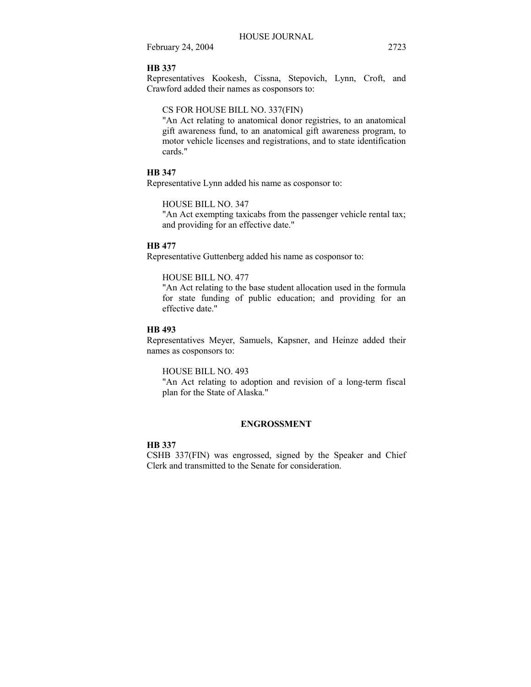## **HB 337**

Representatives Kookesh, Cissna, Stepovich, Lynn, Croft, and Crawford added their names as cosponsors to:

#### CS FOR HOUSE BILL NO. 337(FIN)

"An Act relating to anatomical donor registries, to an anatomical gift awareness fund, to an anatomical gift awareness program, to motor vehicle licenses and registrations, and to state identification cards."

## **HB 347**

Representative Lynn added his name as cosponsor to:

#### HOUSE BILL NO. 347

"An Act exempting taxicabs from the passenger vehicle rental tax; and providing for an effective date."

## **HB 477**

Representative Guttenberg added his name as cosponsor to:

#### HOUSE BILL NO. 477

"An Act relating to the base student allocation used in the formula for state funding of public education; and providing for an effective date."

#### **HB 493**

Representatives Meyer, Samuels, Kapsner, and Heinze added their names as cosponsors to:

#### HOUSE BILL NO. 493

"An Act relating to adoption and revision of a long-term fiscal plan for the State of Alaska."

#### **ENGROSSMENT**

## **HB 337**

CSHB 337(FIN) was engrossed, signed by the Speaker and Chief Clerk and transmitted to the Senate for consideration.